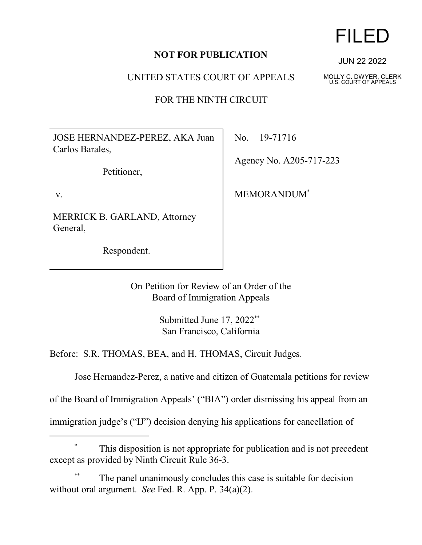## **NOT FOR PUBLICATION**

UNITED STATES COURT OF APPEALS

FOR THE NINTH CIRCUIT

JOSE HERNANDEZ-PEREZ, AKA Juan Carlos Barales,

Petitioner,

v.

MERRICK B. GARLAND, Attorney General,

Respondent.

No. 19-71716

Agency No. A205-717-223

MEMORANDUM\*

On Petition for Review of an Order of the Board of Immigration Appeals

> Submitted June 17, 2022\*\* San Francisco, California

Before: S.R. THOMAS, BEA, and H. THOMAS, Circuit Judges.

Jose Hernandez-Perez, a native and citizen of Guatemala petitions for review

of the Board of Immigration Appeals' ("BIA") order dismissing his appeal from an

immigration judge's ("IJ") decision denying his applications for cancellation of

# This disposition is not appropriate for publication and is not precedent except as provided by Ninth Circuit Rule 36-3.

The panel unanimously concludes this case is suitable for decision without oral argument. *See* Fed. R. App. P. 34(a)(2).

# FILED

JUN 22 2022

MOLLY C. DWYER, CLERK U.S. COURT OF APPEALS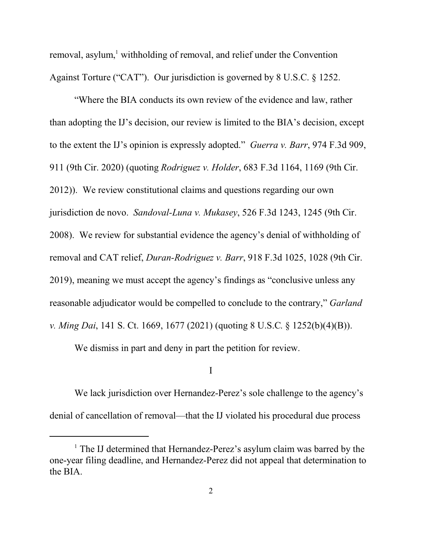removal, asylum,<sup>1</sup> withholding of removal, and relief under the Convention Against Torture ("CAT"). Our jurisdiction is governed by 8 U.S.C. § 1252.

"Where the BIA conducts its own review of the evidence and law, rather than adopting the IJ's decision, our review is limited to the BIA's decision, except to the extent the IJ's opinion is expressly adopted." *Guerra v. Barr*, 974 F.3d 909, 911 (9th Cir. 2020) (quoting *Rodriguez v. Holder*, 683 F.3d 1164, 1169 (9th Cir. 2012)). We review constitutional claims and questions regarding our own jurisdiction de novo. *Sandoval-Luna v. Mukasey*, 526 F.3d 1243, 1245 (9th Cir. 2008). We review for substantial evidence the agency's denial of withholding of removal and CAT relief, *Duran-Rodriguez v. Barr*, 918 F.3d 1025, 1028 (9th Cir. 2019), meaning we must accept the agency's findings as "conclusive unless any reasonable adjudicator would be compelled to conclude to the contrary," *Garland v. Ming Dai*, 141 S. Ct. 1669, 1677 (2021) (quoting 8 U.S.C. § 1252(b)(4)(B)).

We dismiss in part and deny in part the petition for review.

#### I

We lack jurisdiction over Hernandez-Perez's sole challenge to the agency's denial of cancellation of removal—that the IJ violated his procedural due process

<sup>&</sup>lt;sup>1</sup> The IJ determined that Hernandez-Perez's asylum claim was barred by the one-year filing deadline, and Hernandez-Perez did not appeal that determination to the BIA.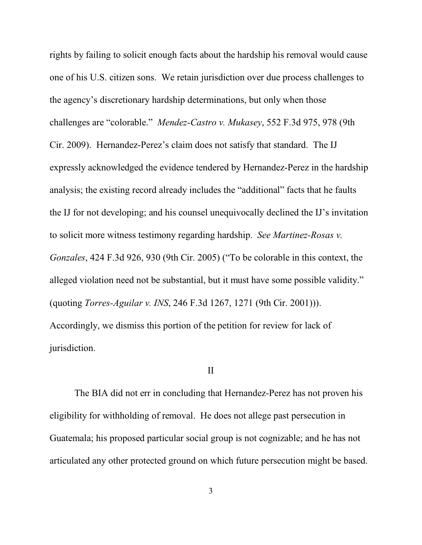rights by failing to solicit enough facts about the hardship his removal would cause one of his U.S. citizen sons. We retain jurisdiction over due process challenges to the agency's discretionary hardship determinations, but only when those challenges are "colorable." *Mendez-Castro v. Mukasey*, 552 F.3d 975, 978 (9th Cir. 2009). Hernandez-Perez's claim does not satisfy that standard. The IJ expressly acknowledged the evidence tendered by Hernandez-Perez in the hardship analysis; the existing record already includes the "additional" facts that he faults the IJ for not developing; and his counsel unequivocally declined the IJ's invitation to solicit more witness testimony regarding hardship. *See Martinez-Rosas v. Gonzales*, 424 F.3d 926, 930 (9th Cir. 2005) ("To be colorable in this context, the alleged violation need not be substantial, but it must have some possible validity." (quoting *Torres-Aguilar v. INS*, 246 F.3d 1267, 1271 (9th Cir. 2001))). Accordingly, we dismiss this portion of the petition for review for lack of jurisdiction.

#### II

The BIA did not err in concluding that Hernandez-Perez has not proven his eligibility for withholding of removal. He does not allege past persecution in Guatemala; his proposed particular social group is not cognizable; and he has not articulated any other protected ground on which future persecution might be based.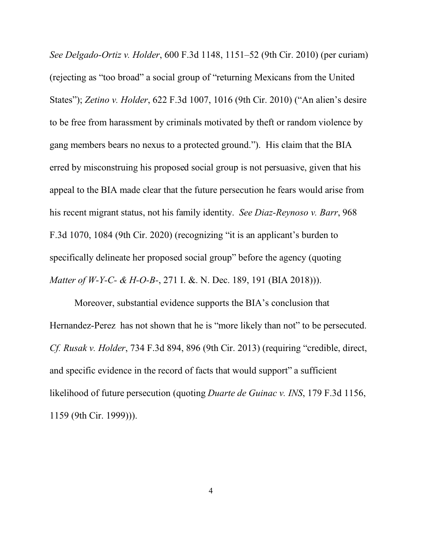*See Delgado-Ortiz v. Holder*, 600 F.3d 1148, 1151–52 (9th Cir. 2010) (per curiam) (rejecting as "too broad" a social group of "returning Mexicans from the United States"); *Zetino v. Holder*, 622 F.3d 1007, 1016 (9th Cir. 2010) ("An alien's desire to be free from harassment by criminals motivated by theft or random violence by gang members bears no nexus to a protected ground.").His claim that the BIA erred by misconstruing his proposed social group is not persuasive, given that his appeal to the BIA made clear that the future persecution he fears would arise from his recent migrant status, not his family identity. *See Diaz-Reynoso v. Barr*, 968 F.3d 1070, 1084 (9th Cir. 2020) (recognizing "it is an applicant's burden to specifically delineate her proposed social group" before the agency (quoting *Matter of W-Y-C- & H-O-B-*, 271 I. &. N. Dec. 189, 191 (BIA 2018))).

Moreover, substantial evidence supports the BIA's conclusion that Hernandez-Perez has not shown that he is "more likely than not" to be persecuted. *Cf. Rusak v. Holder*, 734 F.3d 894, 896 (9th Cir. 2013) (requiring "credible, direct, and specific evidence in the record of facts that would support" a sufficient likelihood of future persecution (quoting *Duarte de Guinac v. INS*, 179 F.3d 1156, 1159 (9th Cir. 1999))).